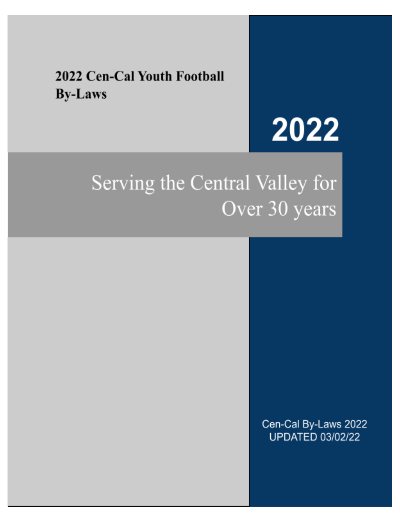### 2022 Cen-Cal Youth Football **By-Laws**

# 2022

## Serving the Central Valley for Over 30 years

Cen-Cal By-Laws 2022 **UPDATED 03/02/22**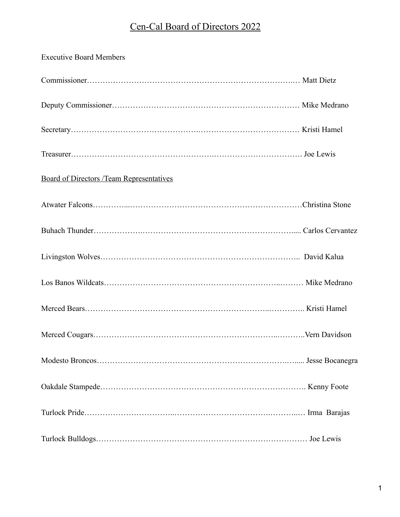#### Cen-Cal Board of Directors 2022

| <b>Executive Board Members</b>                  |  |
|-------------------------------------------------|--|
|                                                 |  |
|                                                 |  |
|                                                 |  |
|                                                 |  |
| <b>Board of Directors /Team Representatives</b> |  |
|                                                 |  |
|                                                 |  |
|                                                 |  |
|                                                 |  |
|                                                 |  |
|                                                 |  |
|                                                 |  |
|                                                 |  |
|                                                 |  |
|                                                 |  |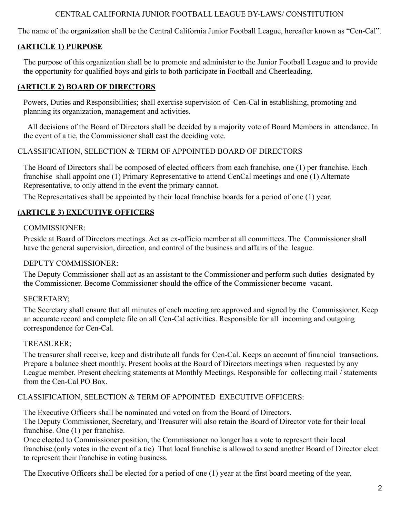#### CENTRAL CALIFORNIA JUNIOR FOOTBALL LEAGUE BY-LAWS/ CONSTITUTION

The name of the organization shall be the Central California Junior Football League, hereafter known as "Cen-Cal".

#### **(ARTICLE 1) PURPOSE**

The purpose of this organization shall be to promote and administer to the Junior Football League and to provide the opportunity for qualified boys and girls to both participate in Football and Cheerleading.

#### **(ARTICLE 2) BOARD OF DIRECTORS**

Powers, Duties and Responsibilities; shall exercise supervision of Cen-Cal in establishing, promoting and planning its organization, management and activities.

All decisions of the Board of Directors shall be decided by a majority vote of Board Members in attendance. In the event of a tie, the Commissioner shall cast the deciding vote.

#### CLASSIFICATION, SELECTION & TERM OF APPOINTED BOARD OF DIRECTORS

The Board of Directors shall be composed of elected officers from each franchise, one (1) per franchise. Each franchise shall appoint one (1) Primary Representative to attend CenCal meetings and one (1) Alternate Representative, to only attend in the event the primary cannot.

The Representatives shall be appointed by their local franchise boards for a period of one (1) year.

#### **(ARTICLE 3) EXECUTIVE OFFICERS**

#### COMMISSIONER:

Preside at Board of Directors meetings. Act as ex-officio member at all committees. The Commissioner shall have the general supervision, direction, and control of the business and affairs of the league.

#### DEPUTY COMMISSIONER:

The Deputy Commissioner shall act as an assistant to the Commissioner and perform such duties designated by the Commissioner. Become Commissioner should the office of the Commissioner become vacant.

#### SECRETARY;

The Secretary shall ensure that all minutes of each meeting are approved and signed by the Commissioner. Keep an accurate record and complete file on all Cen-Cal activities. Responsible for all incoming and outgoing correspondence for Cen-Cal.

#### TREASURER;

The treasurer shall receive, keep and distribute all funds for Cen-Cal. Keeps an account of financial transactions. Prepare a balance sheet monthly. Present books at the Board of Directors meetings when requested by any League member. Present checking statements at Monthly Meetings. Responsible for collecting mail / statements from the Cen-Cal PO Box.

#### CLASSIFICATION, SELECTION & TERM OF APPOINTED EXECUTIVE OFFICERS:

The Executive Officers shall be nominated and voted on from the Board of Directors.

The Deputy Commissioner, Secretary, and Treasurer will also retain the Board of Director vote for their local franchise. One (1) per franchise.

Once elected to Commissioner position, the Commissioner no longer has a vote to represent their local franchise.(only votes in the event of a tie) That local franchise is allowed to send another Board of Director elect to represent their franchise in voting business.

The Executive Officers shall be elected for a period of one (1) year at the first board meeting of the year.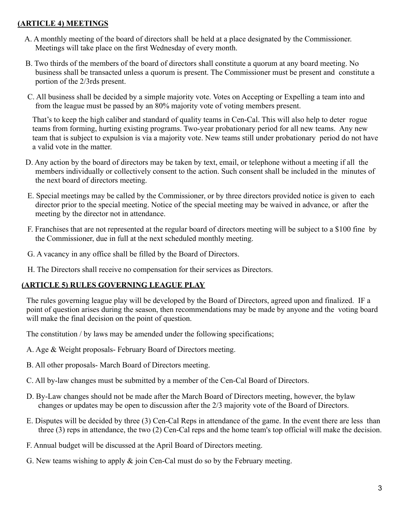#### **(ARTICLE 4) MEETINGS**

- A. A monthly meeting of the board of directors shall be held at a place designated by the Commissioner. Meetings will take place on the first Wednesday of every month.
- B. Two thirds of the members of the board of directors shall constitute a quorum at any board meeting. No business shall be transacted unless a quorum is present. The Commissioner must be present and constitute a portion of the 2/3rds present.
- C. All business shall be decided by a simple majority vote. Votes on Accepting or Expelling a team into and from the league must be passed by an 80% majority vote of voting members present.

That's to keep the high caliber and standard of quality teams in Cen-Cal. This will also help to deter rogue teams from forming, hurting existing programs. Two-year probationary period for all new teams. Any new team that is subject to expulsion is via a majority vote. New teams still under probationary period do not have a valid vote in the matter.

- D. Any action by the board of directors may be taken by text, email, or telephone without a meeting if all the members individually or collectively consent to the action. Such consent shall be included in the minutes of the next board of directors meeting.
- E. Special meetings may be called by the Commissioner, or by three directors provided notice is given to each director prior to the special meeting. Notice of the special meeting may be waived in advance, or after the meeting by the director not in attendance.
- F. Franchises that are not represented at the regular board of directors meeting will be subject to a \$100 fine by the Commissioner, due in full at the next scheduled monthly meeting.
- G. A vacancy in any office shall be filled by the Board of Directors.
- H. The Directors shall receive no compensation for their services as Directors.

#### **(ARTICLE 5) RULES GOVERNING LEAGUE PLAY**

The rules governing league play will be developed by the Board of Directors, agreed upon and finalized. IF a point of question arises during the season, then recommendations may be made by anyone and the voting board will make the final decision on the point of question.

The constitution / by laws may be amended under the following specifications;

- A. Age & Weight proposals- February Board of Directors meeting.
- B. All other proposals- March Board of Directors meeting.
- C. All by-law changes must be submitted by a member of the Cen-Cal Board of Directors.
- D. By-Law changes should not be made after the March Board of Directors meeting, however, the bylaw changes or updates may be open to discussion after the 2/3 majority vote of the Board of Directors.
- E. Disputes will be decided by three (3) Cen-Cal Reps in attendance of the game. In the event there are less than three (3) reps in attendance, the two (2) Cen-Cal reps and the home team's top official will make the decision.
- F. Annual budget will be discussed at the April Board of Directors meeting.
- G. New teams wishing to apply & join Cen-Cal must do so by the February meeting.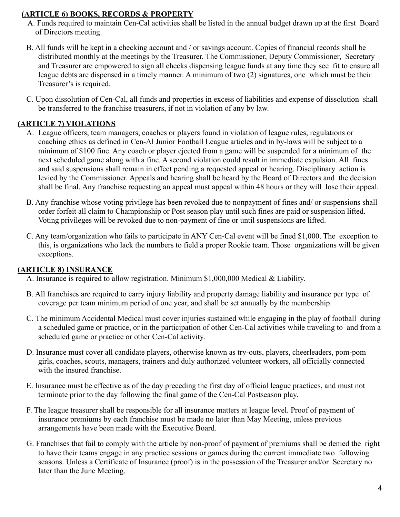#### **(ARTICLE 6) BOOKS, RECORDS & PROPERTY**

- A. Funds required to maintain Cen-Cal activities shall be listed in the annual budget drawn up at the first Board of Directors meeting.
- B. All funds will be kept in a checking account and / or savings account. Copies of financial records shall be distributed monthly at the meetings by the Treasurer. The Commissioner, Deputy Commissioner, Secretary and Treasurer are empowered to sign all checks dispensing league funds at any time they see fit to ensure all league debts are dispensed in a timely manner. A minimum of two (2) signatures, one which must be their Treasurer's is required.
- C. Upon dissolution of Cen-Cal, all funds and properties in excess of liabilities and expense of dissolution shall be transferred to the franchise treasurers, if not in violation of any by law.

#### **(ARTICLE 7) VIOLATIONS**

- A. League officers, team managers, coaches or players found in violation of league rules, regulations or coaching ethics as defined in Cen-Al Junior Football League articles and in by-laws will be subject to a minimum of \$100 fine. Any coach or player ejected from a game will be suspended for a minimum of the next scheduled game along with a fine. A second violation could result in immediate expulsion. All fines and said suspensions shall remain in effect pending a requested appeal or hearing. Disciplinary action is levied by the Commissioner. Appeals and hearing shall be heard by the Board of Directors and the decision shall be final. Any franchise requesting an appeal must appeal within 48 hours or they will lose their appeal.
- B. Any franchise whose voting privilege has been revoked due to nonpayment of fines and/ or suspensions shall order forfeit all claim to Championship or Post season play until such fines are paid or suspension lifted. Voting privileges will be revoked due to non-payment of fine or until suspensions are lifted.
- C. Any team/organization who fails to participate in ANY Cen-Cal event will be fined \$1,000. The exception to this, is organizations who lack the numbers to field a proper Rookie team. Those organizations will be given exceptions.

#### **(ARTICLE 8) INSURANCE**

- A. Insurance is required to allow registration. Minimum \$1,000,000 Medical & Liability.
- B. All franchises are required to carry injury liability and property damage liability and insurance per type of coverage per team minimum period of one year, and shall be set annually by the membership.
- C. The minimum Accidental Medical must cover injuries sustained while engaging in the play of football during a scheduled game or practice, or in the participation of other Cen-Cal activities while traveling to and from a scheduled game or practice or other Cen-Cal activity.
- D. Insurance must cover all candidate players, otherwise known as try-outs, players, cheerleaders, pom-pom girls, coaches, scouts, managers, trainers and duly authorized volunteer workers, all officially connected with the insured franchise.
- E. Insurance must be effective as of the day preceding the first day of official league practices, and must not terminate prior to the day following the final game of the Cen-Cal Postseason play.
- F. The league treasurer shall be responsible for all insurance matters at league level. Proof of payment of insurance premiums by each franchise must be made no later than May Meeting, unless previous arrangements have been made with the Executive Board.
- G. Franchises that fail to comply with the article by non-proof of payment of premiums shall be denied the right to have their teams engage in any practice sessions or games during the current immediate two following seasons. Unless a Certificate of Insurance (proof) is in the possession of the Treasurer and/or Secretary no later than the June Meeting.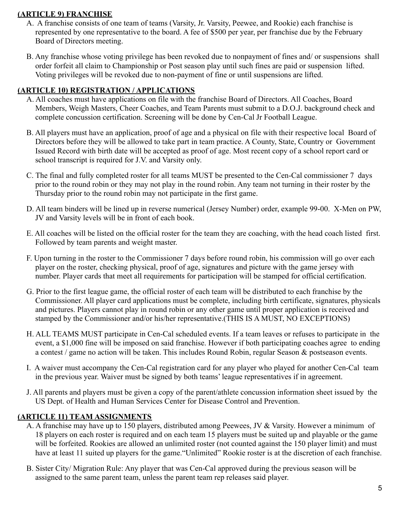#### **(ARTICLE 9) FRANCHISE**

- A. A franchise consists of one team of teams (Varsity, Jr. Varsity, Peewee, and Rookie) each franchise is represented by one representative to the board. A fee of \$500 per year, per franchise due by the February Board of Directors meeting.
- B. Any franchise whose voting privilege has been revoked due to nonpayment of fines and/ or suspensions shall order forfeit all claim to Championship or Post season play until such fines are paid or suspension lifted. Voting privileges will be revoked due to non-payment of fine or until suspensions are lifted.

#### **(ARTICLE 10) REGISTRATION / APPLICATIONS**

- A. All coaches must have applications on file with the franchise Board of Directors. All Coaches, Board Members, Weigh Masters, Cheer Coaches, and Team Parents must submit to a D.O.J. background check and complete concussion certification. Screening will be done by Cen-Cal Jr Football League.
- B. All players must have an application, proof of age and a physical on file with their respective local Board of Directors before they will be allowed to take part in team practice. A County, State, Country or Government Issued Record with birth date will be accepted as proof of age. Most recent copy of a school report card or school transcript is required for J.V. and Varsity only.
- C. The final and fully completed roster for all teams MUST be presented to the Cen-Cal commissioner 7 days prior to the round robin or they may not play in the round robin. Any team not turning in their roster by the Thursday prior to the round robin may not participate in the first game.
- D. All team binders will be lined up in reverse numerical (Jersey Number) order, example 99-00. X-Men on PW, JV and Varsity levels will be in front of each book.
- E. All coaches will be listed on the official roster for the team they are coaching, with the head coach listed first. Followed by team parents and weight master.
- F. Upon turning in the roster to the Commissioner 7 days before round robin, his commission will go over each player on the roster, checking physical, proof of age, signatures and picture with the game jersey with number. Player cards that meet all requirements for participation will be stamped for official certification.
- G. Prior to the first league game, the official roster of each team will be distributed to each franchise by the Commissioner. All player card applications must be complete, including birth certificate, signatures, physicals and pictures. Players cannot play in round robin or any other game until proper application is received and stamped by the Commissioner and/or his/her representative.(THIS IS A MUST, NO EXCEPTIONS)
- H. ALL TEAMS MUST participate in Cen-Cal scheduled events. If a team leaves or refuses to participate in the event, a \$1,000 fine will be imposed on said franchise. However if both participating coaches agree to ending a contest / game no action will be taken. This includes Round Robin, regular Season & postseason events.
- I. A waiver must accompany the Cen-Cal registration card for any player who played for another Cen-Cal team in the previous year. Waiver must be signed by both teams' league representatives if in agreement.
- J. All parents and players must be given a copy of the parent/athlete concussion information sheet issued by the US Dept. of Health and Human Services Center for Disease Control and Prevention.

#### **(ARTICLE 11) TEAM ASSIGNMENTS**

- A. A franchise may have up to 150 players, distributed among Peewees, JV & Varsity. However a minimum of 18 players on each roster is required and on each team 15 players must be suited up and playable or the game will be forfeited. Rookies are allowed an unlimited roster (not counted against the 150 player limit) and must have at least 11 suited up players for the game. "Unlimited" Rookie roster is at the discretion of each franchise.
- B. Sister City/ Migration Rule: Any player that was Cen-Cal approved during the previous season will be assigned to the same parent team, unless the parent team rep releases said player.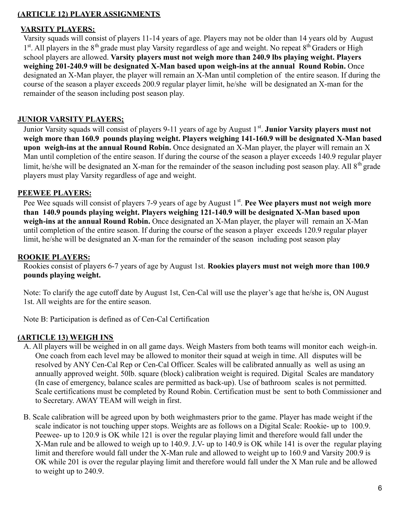#### **(ARTICLE 12) PLAYER ASSIGNMENTS**

#### **VARSITY PLAYERS:**

Varsity squads will consist of players 11-14 years of age. Players may not be older than 14 years old by August 1<sup>st</sup>. All players in the 8<sup>th</sup> grade must play Varsity regardless of age and weight. No repeat 8<sup>th</sup> Graders or High school players are allowed. **Varsity players must not weigh more than 240.9 lbs playing weight. Players weighing 201-240.9 will be designated X-Man based upon weigh-ins at the annual Round Robin.** Once designated an X-Man player, the player will remain an X-Man until completion of the entire season. If during the course of the season a player exceeds 200.9 regular player limit, he/she will be designated an X-man for the remainder of the season including post season play.

#### **JUNIOR VARSITY PLAYERS;**

Junior Varsity squads will consist of players 9-11 years of age by August 1<sup>st</sup>. **Junior Varsity players must not weigh more than 160.9 pounds playing weight. Players weighing 141-160.9 will be designated X-Man based upon weigh-ins at the annual Round Robin.** Once designated an X-Man player, the player will remain an X Man until completion of the entire season. If during the course of the season a player exceeds 140.9 regular player limit, he/she will be designated an X-man for the remainder of the season including post season play. All  $8<sup>th</sup>$  grade players must play Varsity regardless of age and weight.

#### **PEEWEE PLAYERS:**

Pee Wee squads will consist of players 7-9 years of age by August 1<sup>st</sup>. Pee Wee players must not weigh more **than 140.9 pounds playing weight. Players weighing 121-140.9 will be designated X-Man based upon weigh-ins at the annual Round Robin.** Once designated an X-Man player, the player will remain an X-Man until completion of the entire season. If during the course of the season a player exceeds 120.9 regular player limit, he/she will be designated an X-man for the remainder of the season including post season play

#### **ROOKIE PLAYERS:**

Rookies consist of players 6-7 years of age by August 1st. **Rookies players must not weigh more than 100.9 pounds playing weight.**

Note: To clarify the age cutoff date by August 1st, Cen-Cal will use the player's age that he/she is, ON August 1st. All weights are for the entire season.

Note B: Participation is defined as of Cen-Cal Certification

#### **(ARTICLE 13) WEIGH INS**

- A. All players will be weighed in on all game days. Weigh Masters from both teams will monitor each weigh-in. One coach from each level may be allowed to monitor their squad at weigh in time. All disputes will be resolved by ANY Cen-Cal Rep or Cen-Cal Officer. Scales will be calibrated annually as well as using an annually approved weight. 50lb. square (block) calibration weight is required. Digital Scales are mandatory (In case of emergency, balance scales are permitted as back-up). Use of bathroom scales is not permitted. Scale certifications must be completed by Round Robin. Certification must be sent to both Commissioner and to Secretary. AWAY TEAM will weigh in first.
- B. Scale calibration will be agreed upon by both weighmasters prior to the game. Player has made weight if the scale indicator is not touching upper stops. Weights are as follows on a Digital Scale: Rookie- up to 100.9. Peewee- up to 120.9 is OK while 121 is over the regular playing limit and therefore would fall under the X-Man rule and be allowed to weigh up to 140.9. J.V- up to 140.9 is OK while 141 is over the regular playing limit and therefore would fall under the X-Man rule and allowed to weight up to 160.9 and Varsity 200.9 is OK while 201 is over the regular playing limit and therefore would fall under the X Man rule and be allowed to weight up to 240.9.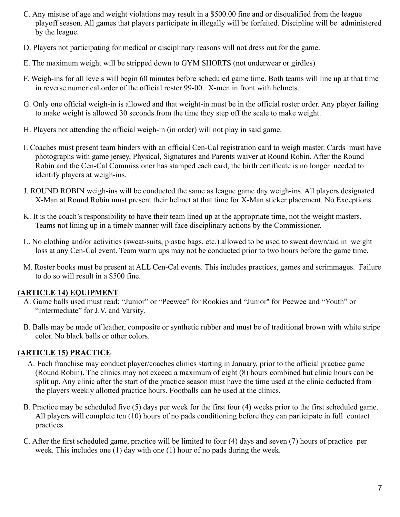- C. Any misuse of age and weight violations may result in a \$500.00 fine and or disqualified from the league playoff season. All games that players participate in illegally will be forfeited. Discipline will be administered by the league.
- D. Players not participating for medical or disciplinary reasons will not dress out for the game.
- E. The maximum weight will be stripped down to GYM SHORTS (not underwear or girdles)
- F. Weigh-ins for all levels will begin 60 minutes before scheduled game time. Both teams will line up at that time in reverse numerical order of the official roster 99-00. X-men in front with helmets.
- G. Only one official weigh-in is allowed and that weight-in must be in the official roster order. Any player failing to make weight is allowed 30 seconds from the time they step off the scale to make weight.
- H. Players not attending the official weigh-in (in order) will not play in said game.
- I. Coaches must present team binders with an official Cen-Cal registration card to weigh master. Cards must have photographs with game jersey, Physical, Signatures and Parents waiver at Round Robin. After the Round Robin and the Cen-Cal Commissioner has stamped each card, the birth certificate is no longer needed to identify players at weigh-ins.
- J. ROUND ROBIN weigh-ins will be conducted the same as league game day weigh-ins. All players designated X-Man at Round Robin must present their helmet at that time for X-Man sticker placement. No Exceptions.
- K. It is the coach's responsibility to have their team lined up at the appropriate time, not the weight masters. Teams not lining up in a timely manner will face disciplinary actions by the Commissioner.
- L. No clothing and/or activities (sweat-suits, plastic bags, etc.) allowed to be used to sweat down/aid in weight loss at any Cen-Cal event. Team warm ups may not be conducted prior to two hours before the game time.
- M. Roster books must be present at ALL Cen-Cal events. This includes practices, games and scrimmages. Failure to do so will result in a \$500 fine.

#### **(ARTICLE 14) EQUIPMENT**

- A. Game balls used must read; "Junior" or "Peewee" for Rookies and "Junior'' for Peewee and "Youth" or "Intermediate" for J.V. and Varsity.
- B. Balls may be made of leather, composite or synthetic rubber and must be of traditional brown with white stripe color. No black balls or other colors.

#### **(ARTICLE 15) PRACTICE**

- A. Each franchise may conduct player/coaches clinics starting in January, prior to the official practice game (Round Robin). The clinics may not exceed a maximum of eight (8) hours combined but clinic hours can be split up. Any clinic after the start of the practice season must have the time used at the clinic deducted from the players weekly allotted practice hours. Footballs can be used at the clinics.
- B. Practice may be scheduled five (5) days per week for the first four (4) weeks prior to the first scheduled game. All players will complete ten (10) hours of no pads conditioning before they can participate in full contact practices.
- C. After the first scheduled game, practice will be limited to four (4) days and seven (7) hours of practice per week. This includes one (1) day with one (1) hour of no pads during the week.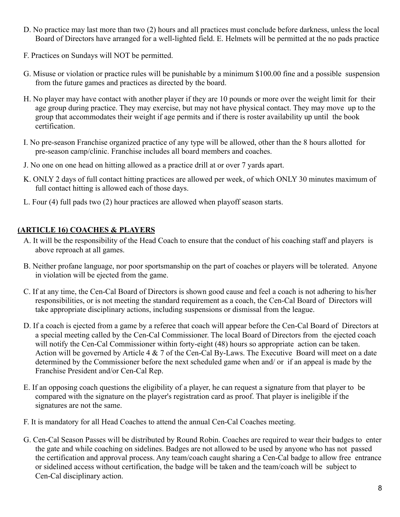- D. No practice may last more than two (2) hours and all practices must conclude before darkness, unless the local Board of Directors have arranged for a well-lighted field. E. Helmets will be permitted at the no pads practice
- F. Practices on Sundays will NOT be permitted.
- G. Misuse or violation or practice rules will be punishable by a minimum \$100.00 fine and a possible suspension from the future games and practices as directed by the board.
- H. No player may have contact with another player if they are 10 pounds or more over the weight limit for their age group during practice. They may exercise, but may not have physical contact. They may move up to the group that accommodates their weight if age permits and if there is roster availability up until the book certification.
- I. No pre-season Franchise organized practice of any type will be allowed, other than the 8 hours allotted for pre-season camp/clinic. Franchise includes all board members and coaches.
- J. No one on one head on hitting allowed as a practice drill at or over 7 yards apart.
- K. ONLY 2 days of full contact hitting practices are allowed per week, of which ONLY 30 minutes maximum of full contact hitting is allowed each of those days.
- L. Four (4) full pads two (2) hour practices are allowed when playoff season starts.

#### **(ARTICLE 16) COACHES & PLAYERS**

- A. It will be the responsibility of the Head Coach to ensure that the conduct of his coaching staff and players is above reproach at all games.
- B. Neither profane language, nor poor sportsmanship on the part of coaches or players will be tolerated. Anyone in violation will be ejected from the game.
- C. If at any time, the Cen-Cal Board of Directors is shown good cause and feel a coach is not adhering to his/her responsibilities, or is not meeting the standard requirement as a coach, the Cen-Cal Board of Directors will take appropriate disciplinary actions, including suspensions or dismissal from the league.
- D. If a coach is ejected from a game by a referee that coach will appear before the Cen-Cal Board of Directors at a special meeting called by the Cen-Cal Commissioner. The local Board of Directors from the ejected coach will notify the Cen-Cal Commissioner within forty-eight (48) hours so appropriate action can be taken. Action will be governed by Article 4 & 7 of the Cen-Cal By-Laws. The Executive Board will meet on a date determined by the Commissioner before the next scheduled game when and/ or if an appeal is made by the Franchise President and/or Cen-Cal Rep.
- E. If an opposing coach questions the eligibility of a player, he can request a signature from that player to be compared with the signature on the player's registration card as proof. That player is ineligible if the signatures are not the same.
- F. It is mandatory for all Head Coaches to attend the annual Cen-Cal Coaches meeting.
- G. Cen-Cal Season Passes will be distributed by Round Robin. Coaches are required to wear their badges to enter the gate and while coaching on sidelines. Badges are not allowed to be used by anyone who has not passed the certification and approval process. Any team/coach caught sharing a Cen-Cal badge to allow free entrance or sidelined access without certification, the badge will be taken and the team/coach will be subject to Cen-Cal disciplinary action.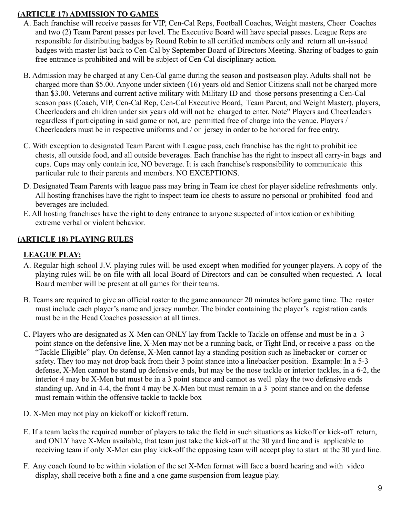#### **(ARTICLE 17) ADMISSION TO GAMES**

- A. Each franchise will receive passes for VIP, Cen-Cal Reps, Football Coaches, Weight masters, Cheer Coaches and two (2) Team Parent passes per level. The Executive Board will have special passes. League Reps are responsible for distributing badges by Round Robin to all certified members only and return all un-issued badges with master list back to Cen-Cal by September Board of Directors Meeting. Sharing of badges to gain free entrance is prohibited and will be subject of Cen-Cal disciplinary action.
- B. Admission may be charged at any Cen-Cal game during the season and postseason play. Adults shall not be charged more than \$5.00. Anyone under sixteen (16) years old and Senior Citizens shall not be charged more than \$3.00. Veterans and current active military with Military ID and those persons presenting a Cen-Cal season pass (Coach, VIP, Cen-Cal Rep, Cen-Cal Executive Board, Team Parent, and Weight Master), players, Cheerleaders and children under six years old will not be charged to enter. Note" Players and Cheerleaders regardless if participating in said game or not, are permitted free of charge into the venue. Players / Cheerleaders must be in respective uniforms and / or jersey in order to be honored for free entry.
- C. With exception to designated Team Parent with League pass, each franchise has the right to prohibit ice chests, all outside food, and all outside beverages. Each franchise has the right to inspect all carry-in bags and cups. Cups may only contain ice, NO beverage. It is each franchise's responsibility to communicate this particular rule to their parents and members. NO EXCEPTIONS.
- D. Designated Team Parents with league pass may bring in Team ice chest for player sideline refreshments only. All hosting franchises have the right to inspect team ice chests to assure no personal or prohibited food and beverages are included.
- E. All hosting franchises have the right to deny entrance to anyone suspected of intoxication or exhibiting extreme verbal or violent behavior.

#### **(ARTICLE 18) PLAYING RULES**

#### **LEAGUE PLAY:**

- A. Regular high school J.V. playing rules will be used except when modified for younger players. A copy of the playing rules will be on file with all local Board of Directors and can be consulted when requested. A local Board member will be present at all games for their teams.
- B. Teams are required to give an official roster to the game announcer 20 minutes before game time. The roster must include each player's name and jersey number. The binder containing the player's registration cards must be in the Head Coaches possession at all times.
- C. Players who are designated as X-Men can ONLY lay from Tackle to Tackle on offense and must be in a 3 point stance on the defensive line, X-Men may not be a running back, or Tight End, or receive a pass on the "Tackle Eligible" play. On defense, X-Men cannot lay a standing position such as linebacker or corner or safety. They too may not drop back from their 3 point stance into a linebacker position. Example: In a 5-3 defense, X-Men cannot be stand up defensive ends, but may be the nose tackle or interior tackles, in a 6-2, the interior 4 may be X-Men but must be in a 3 point stance and cannot as well play the two defensive ends standing up. And in 4-4, the front 4 may be X-Men but must remain in a 3 point stance and on the defense must remain within the offensive tackle to tackle box
- D. X-Men may not play on kickoff or kickoff return.
- E. If a team lacks the required number of players to take the field in such situations as kickoff or kick-off return, and ONLY have X-Men available, that team just take the kick-off at the 30 yard line and is applicable to receiving team if only X-Men can play kick-off the opposing team will accept play to start at the 30 yard line.
- F. Any coach found to be within violation of the set X-Men format will face a board hearing and with video display, shall receive both a fine and a one game suspension from league play.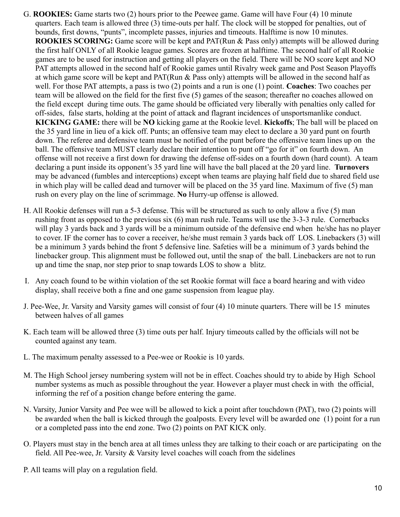- G. **ROOKIES:** Game starts two (2) hours prior to the Peewee game. Game will have Four (4) 10 minute quarters. Each team is allowed three (3) time-outs per half. The clock will be stopped for penalties, out of bounds, first downs, "punts", incomplete passes, injuries and timeouts. Halftime is now 10 minutes. **ROOKIES SCORING:** Game score will be kept and PAT(Run & Pass only) attempts will be allowed during the first half ONLY of all Rookie league games. Scores are frozen at halftime. The second half of all Rookie games are to be used for instruction and getting all players on the field. There will be NO score kept and NO PAT attempts allowed in the second half of Rookie games until Rivalry week game and Post Season Playoffs at which game score will be kept and PAT(Run & Pass only) attempts will be allowed in the second half as well. For those PAT attempts, a pass is two (2) points and a run is one (1) point. **Coaches**: Two coaches per team will be allowed on the field for the first five (5) games of the season; thereafter no coaches allowed on the field except during time outs. The game should be officiated very liberally with penalties only called for off-sides, false starts, holding at the point of attack and flagrant incidences of unsportsmanlike conduct. **KICKING GAME:** there will be **NO** kicking game at the Rookie level. **Kickoffs**; The ball will be placed on the 35 yard line in lieu of a kick off. Punts; an offensive team may elect to declare a 30 yard punt on fourth down. The referee and defensive team must be notified of the punt before the offensive team lines up on the ball. The offensive team MUST clearly declare their intention to punt off "go for it" on fourth down. An offense will not receive a first down for drawing the defense off-sides on a fourth down (hard count). A team declaring a punt inside its opponent's 35 yard line will have the ball placed at the 20 yard line. **Turnovers** may be advanced (fumbles and interceptions) except when teams are playing half field due to shared field use in which play will be called dead and turnover will be placed on the 35 yard line. Maximum of five (5) man rush on every play on the line of scrimmage. **No** Hurry-up offense is allowed.
- H. All Rookie defenses will run a 5-3 defense. This will be structured as such to only allow a five (5) man rushing front as opposed to the previous six (6) man rush rule. Teams will use the 3-3-3 rule. Cornerbacks will play 3 yards back and 3 yards will be a minimum outside of the defensive end when he/she has no player to cover. IF the corner has to cover a receiver, he/she must remain 3 yards back off LOS. Linebackers (3) will be a minimum 3 yards behind the front 5 defensive line. Safeties will be a minimum of 3 yards behind the linebacker group. This alignment must be followed out, until the snap of the ball. Linebackers are not to run up and time the snap, nor step prior to snap towards LOS to show a blitz.
- I. Any coach found to be within violation of the set Rookie format will face a board hearing and with video display, shall receive both a fine and one game suspension from league play.
- J. Pee-Wee, Jr. Varsity and Varsity games will consist of four (4) 10 minute quarters. There will be 15 minutes between halves of all games
- K. Each team will be allowed three (3) time outs per half. Injury timeouts called by the officials will not be counted against any team.
- L. The maximum penalty assessed to a Pee-wee or Rookie is 10 yards.
- M. The High School jersey numbering system will not be in effect. Coaches should try to abide by High School number systems as much as possible throughout the year. However a player must check in with the official, informing the ref of a position change before entering the game.
- N. Varsity, Junior Varsity and Pee wee will be allowed to kick a point after touchdown (PAT), two (2) points will be awarded when the ball is kicked through the goalposts. Every level will be awarded one (1) point for a run or a completed pass into the end zone. Two (2) points on PAT KICK only.
- O. Players must stay in the bench area at all times unless they are talking to their coach or are participating on the field. All Pee-wee, Jr. Varsity & Varsity level coaches will coach from the sidelines
- P. All teams will play on a regulation field.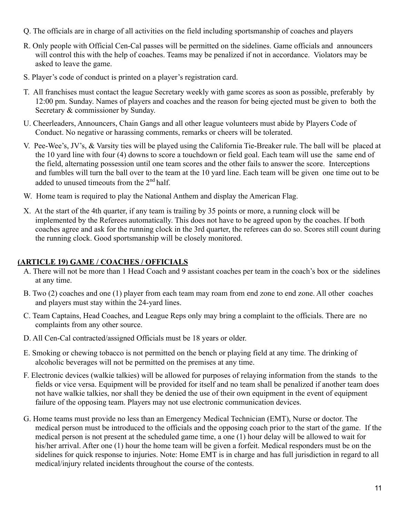- Q. The officials are in charge of all activities on the field including sportsmanship of coaches and players
- R. Only people with Official Cen-Cal passes will be permitted on the sidelines. Game officials and announcers will control this with the help of coaches. Teams may be penalized if not in accordance. Violators may be asked to leave the game.
- S. Player's code of conduct is printed on a player's registration card.
- T. All franchises must contact the league Secretary weekly with game scores as soon as possible, preferably by 12:00 pm. Sunday. Names of players and coaches and the reason for being ejected must be given to both the Secretary & commissioner by Sunday.
- U. Cheerleaders, Announcers, Chain Gangs and all other league volunteers must abide by Players Code of Conduct. No negative or harassing comments, remarks or cheers will be tolerated.
- V. Pee-Wee's, JV's, & Varsity ties will be played using the California Tie-Breaker rule. The ball will be placed at the 10 yard line with four (4) downs to score a touchdown or field goal. Each team will use the same end of the field, alternating possession until one team scores and the other fails to answer the score. Interceptions and fumbles will turn the ball over to the team at the 10 yard line. Each team will be given one time out to be added to unused timeouts from the 2nd half.
- W. Home team is required to play the National Anthem and display the American Flag.
- X. At the start of the 4th quarter, if any team is trailing by 35 points or more, a running clock will be implemented by the Referees automatically. This does not have to be agreed upon by the coaches. If both coaches agree and ask for the running clock in the 3rd quarter, the referees can do so. Scores still count during the running clock. Good sportsmanship will be closely monitored.

#### **(ARTICLE 19) GAME / COACHES / OFFICIALS**

- A. There will not be more than 1 Head Coach and 9 assistant coaches per team in the coach's box or the sidelines at any time.
- B. Two (2) coaches and one (1) player from each team may roam from end zone to end zone. All other coaches and players must stay within the 24-yard lines.
- C. Team Captains, Head Coaches, and League Reps only may bring a complaint to the officials. There are no complaints from any other source.
- D. All Cen-Cal contracted/assigned Officials must be 18 years or older.
- E. Smoking or chewing tobacco is not permitted on the bench or playing field at any time. The drinking of alcoholic beverages will not be permitted on the premises at any time.
- F. Electronic devices (walkie talkies) will be allowed for purposes of relaying information from the stands to the fields or vice versa. Equipment will be provided for itself and no team shall be penalized if another team does not have walkie talkies, nor shall they be denied the use of their own equipment in the event of equipment failure of the opposing team. Players may not use electronic communication devices.
- G. Home teams must provide no less than an Emergency Medical Technician (EMT), Nurse or doctor. The medical person must be introduced to the officials and the opposing coach prior to the start of the game. If the medical person is not present at the scheduled game time, a one (1) hour delay will be allowed to wait for his/her arrival. After one (1) hour the home team will be given a forfeit. Medical responders must be on the sidelines for quick response to injuries. Note: Home EMT is in charge and has full jurisdiction in regard to all medical/injury related incidents throughout the course of the contests.